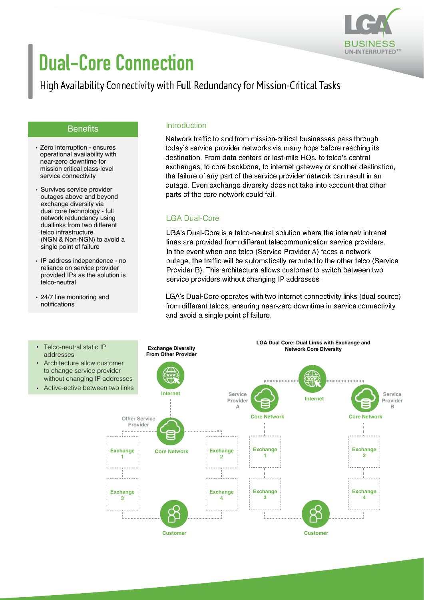

# **Dual-Core Connection**

## High Availability Connectivity with Full Redundancy for Mission-Critical Tasks

#### **Benefits**

- Zero interruption ensures operational availability with near-zero downtime for mission critical class-level service connectivity
- Survives service provider outages above and beyond exchange diversity via dual core technology - full network redundancy using duallinks from two different telco infrastructure (NGN & Non-NGN) to avoid a single point of failure
- IP address independence no reliance on service provider provided IPs as the solution is telco-neutral
- 24/7 line monitoring and notifications

#### Introduction

Network traffic to and from mission-critical businesses pass through today's service provider networks via many hops before reaching its destination. From data centers or last-mile HQs, to telco's central exchanges, to core backbone, to internet gateway or another destination, the failure of any part of the service provider network can result in an outage. Even exchange diversity does not take into account that other parts of the core network could fail.

#### LGA Dual-Core

LGA's Dual-Core is a telco-neutral solution where the internet/ intranet lines are provided from different telecommunication service providers. In the event when one telco (Service Provider A) faces a network outage, the traffic will be automatically rerouted to the other telco (Service Provider B). This architecture allows customer to switch between two service providers without changing IP addresses.

LGA's Dual-Core operates with two internet connectivity links (dual source) from different telcos, ensuring near-zero downtime in service connectivity and avoid a single point of failure.